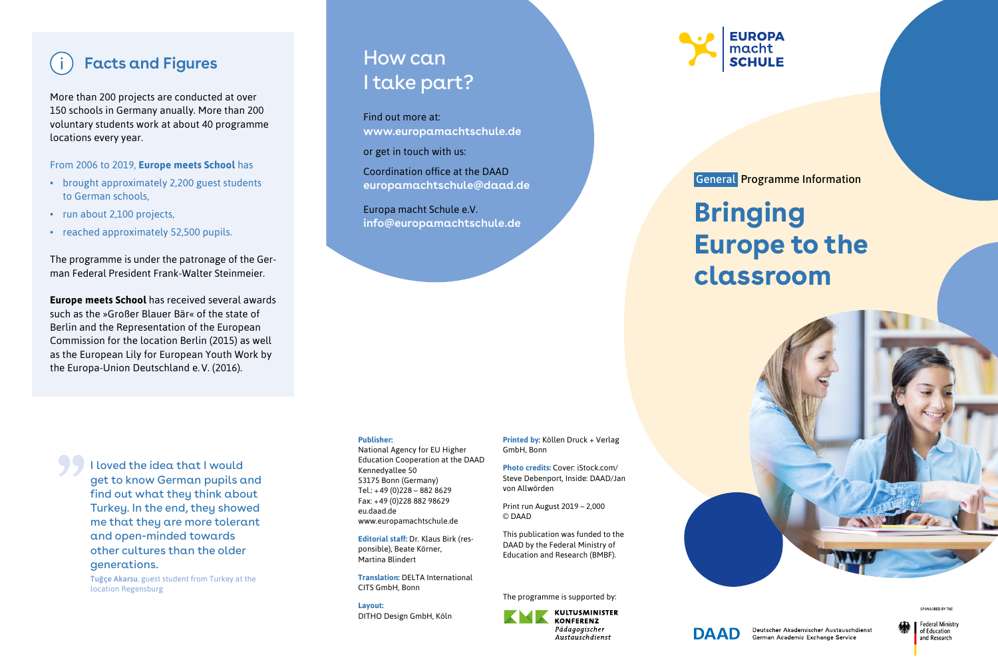## **Facts and Figures**

More than 200 projects are conducted at over 150 schools in Germany anually. More than 200 voluntary students work at about 40 programme locations every year.

From 2006 to 2019, **Europe meets School** has

- brought approximately 2,200 guest students to German schools,
- run about 2,100 projects,
- reached approximately 52,500 pupils.

The programme is under the patronage of the German Federal President Frank-Walter Steinmeier.

**Europe meets School** has received several awards such as the »Großer Blauer Bär« of the state of Berlin and the Representation of the European Commission for the location Berlin (2015) as well as the European Lily for European Youth Work by the Europa-Union Deutschland e. V. (2016).

How can I take part?

Find out more at: **www.europamachtschule.de**

or get in touch with us:

Coordination office at the DAAD **europamachtschule@daad.de**

Europa macht Schule e.V. **info@europamachtschule.de**

### **Publisher:**

National Agency for EU Higher Education Cooperation at the DAAD Kennedyallee 50 53175 Bonn (Germany) Tel.: +49 (0)228 – 882 8629 Fax: +49 (0)228 882 98629 eu.daad.de www.europamachtschule.de

**Editorial staff:** Dr. Klaus Birk (responsible), Beate Körner, Martina Blindert

**Translation:** DELTA International CITS GmbH, Bonn

**Layout:** DITHO Design GmbH, Köln **Printed by:** Köllen Druck + Verlag GmbH, Bonn

**Photo credits:** Cover: iStock.com/ Steve Debenport, Inside: DAAD/Jan von Allwörden

Print run August 2019 – 2,000 © DAAD

This publication was funded to the DAAD by the Federal Ministry of Education and Research (BMBF).

The programme is supported by:



**FUROPA** macht **SCHULE** 

General Programme Information

# **Bringing Europe to the classroom**



SPONSORED BY TH



Deutscher Akademischer Austauschdienst German Academic Exchange Service

Federal Ministry of Education and Research

I loved the idea that I would get to know German pupils and find out what they think about Turkey. In the end, they showed me that they are more tolerant and open-minded towards other cultures than the older generations.

**Tuğçe Akarsu**, guest student from Turkey at the location Regensburg